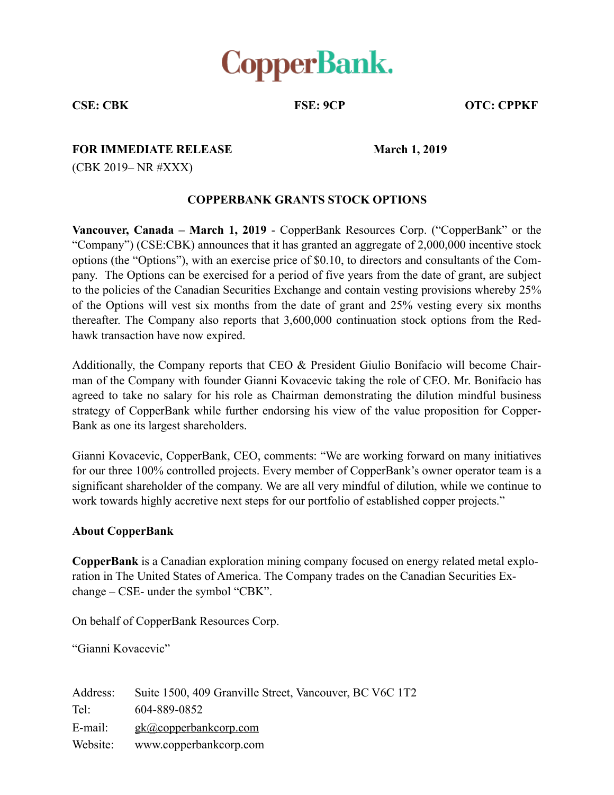

**CSE: CBK FSE: 9CP OTC: CPPKF** 

**FOR IMMEDIATE RELEASE March 1, 2019** 

(CBK 2019– NR #XXX)

## **COPPERBANK GRANTS STOCK OPTIONS**

**Vancouver, Canada – March 1, 2019** - CopperBank Resources Corp. ("CopperBank" or the "Company") (CSE:CBK) announces that it has granted an aggregate of 2,000,000 incentive stock options (the "Options"), with an exercise price of \$0.10, to directors and consultants of the Company. The Options can be exercised for a period of five years from the date of grant, are subject to the policies of the Canadian Securities Exchange and contain vesting provisions whereby 25% of the Options will vest six months from the date of grant and 25% vesting every six months thereafter. The Company also reports that 3,600,000 continuation stock options from the Redhawk transaction have now expired.

Additionally, the Company reports that CEO & President Giulio Bonifacio will become Chairman of the Company with founder Gianni Kovacevic taking the role of CEO. Mr. Bonifacio has agreed to take no salary for his role as Chairman demonstrating the dilution mindful business strategy of CopperBank while further endorsing his view of the value proposition for Copper-Bank as one its largest shareholders.

Gianni Kovacevic, CopperBank, CEO, comments: "We are working forward on many initiatives for our three 100% controlled projects. Every member of CopperBank's owner operator team is a significant shareholder of the company. We are all very mindful of dilution, while we continue to work towards highly accretive next steps for our portfolio of established copper projects."

## **About CopperBank**

**CopperBank** is a Canadian exploration mining company focused on energy related metal exploration in The United States of America. The Company trades on the Canadian Securities Exchange – CSE- under the symbol "CBK".

On behalf of CopperBank Resources Corp.

"Gianni Kovacevic"

| Address:         | Suite 1500, 409 Granville Street, Vancouver, BC V6C 1T2 |
|------------------|---------------------------------------------------------|
| Tel <sup>-</sup> | 604-889-0852                                            |
| E-mail:          | <u>gk@copperbankcorp.com</u>                            |
| Website:         | www.copperbankcorp.com                                  |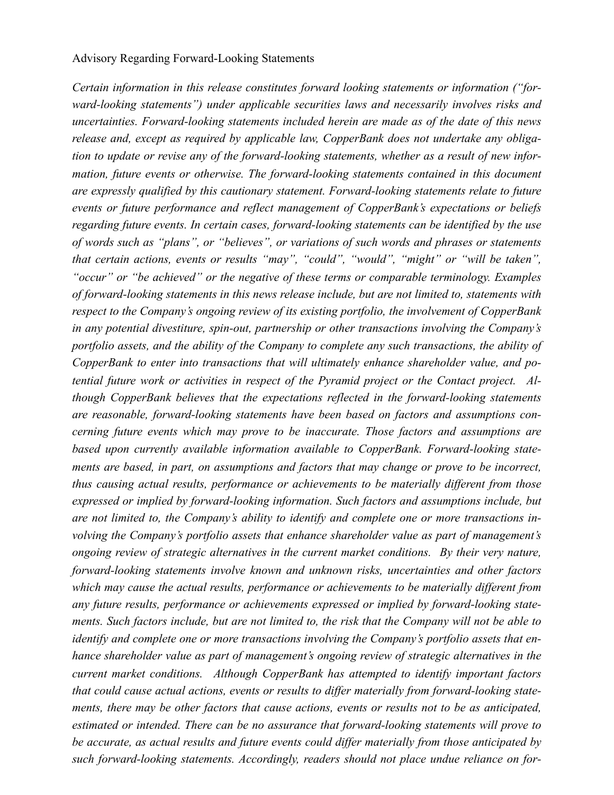*Certain information in this release constitutes forward looking statements or information ("forward-looking statements") under applicable securities laws and necessarily involves risks and uncertainties. Forward-looking statements included herein are made as of the date of this news release and, except as required by applicable law, CopperBank does not undertake any obligation to update or revise any of the forward-looking statements, whether as a result of new information, future events or otherwise. The forward-looking statements contained in this document are expressly qualified by this cautionary statement. Forward-looking statements relate to future events or future performance and reflect management of CopperBank's expectations or beliefs regarding future events. In certain cases, forward-looking statements can be identified by the use of words such as "plans", or "believes", or variations of such words and phrases or statements that certain actions, events or results "may", "could", "would", "might" or "will be taken", "occur" or "be achieved" or the negative of these terms or comparable terminology. Examples of forward-looking statements in this news release include, but are not limited to, statements with respect to the Company's ongoing review of its existing portfolio, the involvement of CopperBank in any potential divestiture, spin-out, partnership or other transactions involving the Company's portfolio assets, and the ability of the Company to complete any such transactions, the ability of CopperBank to enter into transactions that will ultimately enhance shareholder value, and potential future work or activities in respect of the Pyramid project or the Contact project. Although CopperBank believes that the expectations reflected in the forward-looking statements are reasonable, forward-looking statements have been based on factors and assumptions concerning future events which may prove to be inaccurate. Those factors and assumptions are based upon currently available information available to CopperBank. Forward-looking statements are based, in part, on assumptions and factors that may change or prove to be incorrect, thus causing actual results, performance or achievements to be materially different from those expressed or implied by forward-looking information. Such factors and assumptions include, but are not limited to, the Company's ability to identify and complete one or more transactions involving the Company's portfolio assets that enhance shareholder value as part of management's ongoing review of strategic alternatives in the current market conditions. By their very nature, forward-looking statements involve known and unknown risks, uncertainties and other factors which may cause the actual results, performance or achievements to be materially different from any future results, performance or achievements expressed or implied by forward-looking statements. Such factors include, but are not limited to, the risk that the Company will not be able to identify and complete one or more transactions involving the Company's portfolio assets that enhance shareholder value as part of management's ongoing review of strategic alternatives in the current market conditions. Although CopperBank has attempted to identify important factors that could cause actual actions, events or results to differ materially from forward-looking statements, there may be other factors that cause actions, events or results not to be as anticipated, estimated or intended. There can be no assurance that forward-looking statements will prove to be accurate, as actual results and future events could differ materially from those anticipated by such forward-looking statements. Accordingly, readers should not place undue reliance on for-*